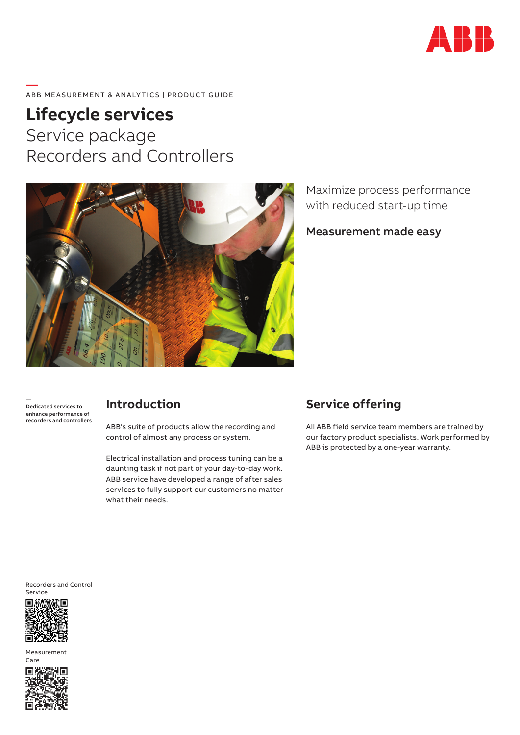

#### **—**  ABB MEASUREMENT & ANALYTICS | PRODUCT GUIDE

# **Lifecycle services** Service package Recorders and Controllers



Maximize process performance with reduced start-up time

Measurement made easy

— Dedicated services to enhance performance of recorders and controllers

## **Introduction**

ABB's suite of products allow the recording and control of almost any process or system.

Electrical installation and process tuning can be a daunting task if not part of your day-to-day work. ABB service have developed a range of after sales services to fully support our customers no matter what their needs.

# **Service offering**

All ABB field service team members are trained by our factory product specialists. Work performed by ABB is protected by a one-year warranty.

Recorders and Control Service



Measurement Care